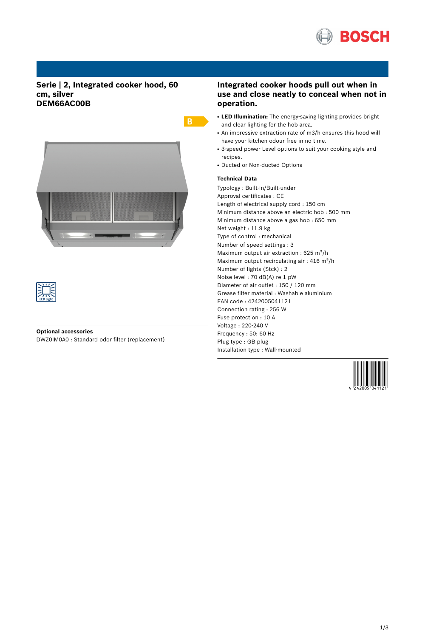

# **Serie | 2, Integrated cooker hood, 60 cm, silver DEM66AC00B**





### **Optional accessories**

DWZ0IM0A0 : Standard odor filter (replacement)

# **Integrated cooker hoods pull out when in use and close neatly to conceal when not in operation.**

- **LED Illumination:** The energy-saving lighting provides bright and clear lighting for the hob area.
- An impressive extraction rate of m3/h ensures this hood will have your kitchen odour free in no time.
- 3-speed power Level options to suit your cooking style and recipes.
- Ducted or Non-ducted Options

### **Technical Data**

 $B -$ 

Typology : Built-in/Built-under Approval certificates : CE Length of electrical supply cord : 150 cm Minimum distance above an electric hob : 500 mm Minimum distance above a gas hob : 650 mm Net weight : 11.9 kg Type of control : mechanical Number of speed settings : 3 Maximum output air extraction :  $625 \text{ m}^3\text{/h}$ Maximum output recirculating air :  $416 \text{ m}^3\text{/h}$ Number of lights (Stck) : 2 Noise level : 70 dB(A) re 1 pW Diameter of air outlet : 150 / 120 mm Grease filter material : Washable aluminium EAN code : 4242005041121 Connection rating : 256 W Fuse protection : 10 A Voltage : 220-240 V Frequency : 50; 60 Hz Plug type : GB plug Installation type : Wall-mounted

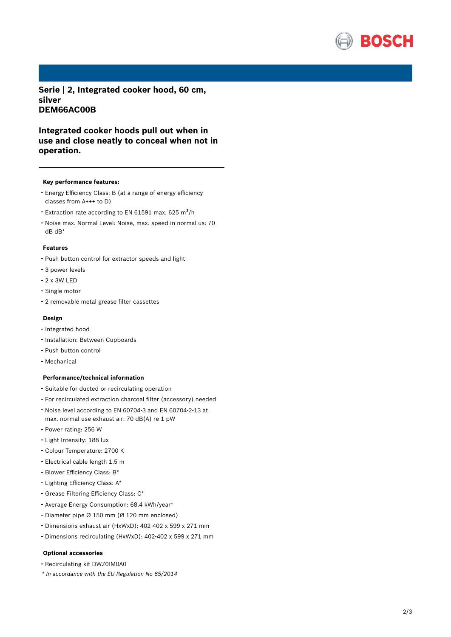

**Serie | 2, Integrated cooker hood, 60 cm, silver DEM66AC00B**

**Integrated cooker hoods pull out when in use and close neatly to conceal when not in operation.**

#### **Key performance features:**

- Energy Efficiency Class: <sup>B</sup> (at <sup>a</sup> range of energy efficiency classes from A+++ to D)
- Extraction rate according to EN 61591 max. 625  $m^3/h$
- Noise max. Normal Level: Noise, max. speed in normal us: <sup>70</sup> dB dB\*

#### **Features**

- Push button control for extractor speeds and light
- <sup>3</sup> power levels
- 2 x 3W LED
- Single motor
- <sup>2</sup> removable metal grease filter cassettes

#### **Design**

- Integrated hood
- Installation: Between Cupboards
- Push button control
- Mechanical

#### **Performance/technical information**

- Suitable for ducted or recirculating operation
- For recirculated extraction charcoal filter (accessory) needed
- Noise level according to EN 60704-3 and EN 60704-2-13 at max. normal use exhaust air: 70 dB(A) re 1 pW
- Power rating: <sup>256</sup> <sup>W</sup>
- Light Intensity: <sup>188</sup> lux
- Colour Temperature: <sup>2700</sup> <sup>K</sup>
- Electrical cable length 1.5 <sup>m</sup>
- Blower Efficiency Class: B\*
- Lighting Efficiency Class: A\*
- Grease Filtering Efficiency Class: C\*
- Average Energy Consumption: 68.4 kWh/year\*
- Diameter pipe <sup>Ø</sup> <sup>150</sup> mm (Ø <sup>120</sup> mm enclosed)
- Dimensions exhaust air (HxWxD): 402-402 <sup>x</sup> <sup>599</sup> <sup>x</sup> <sup>271</sup> mm
- Dimensions recirculating (HxWxD): 402-402 <sup>x</sup> <sup>599</sup> <sup>x</sup> <sup>271</sup> mm

#### **Optional accessories**

- Recirculating kit DWZ0IM0A0
- *\* In accordance with the EU-Regulation No 65/2014*